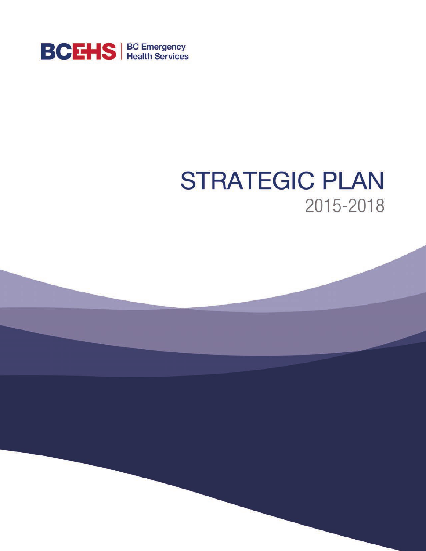

# **STRATEGIC PLAN** 2015-2018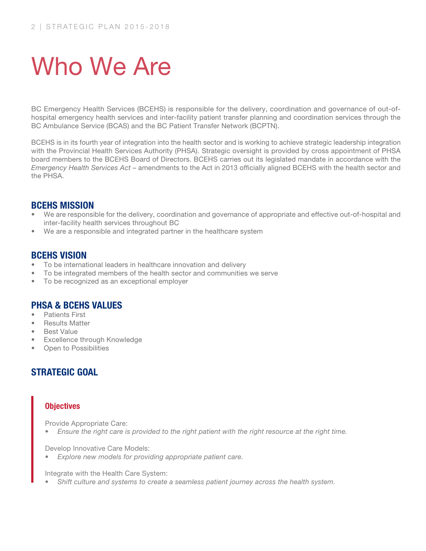# Who We Are

BC Emergency Health Services (BCEHS) is responsible for the delivery, coordination and governance of out-ofhospital emergency health services and inter-facility patient transfer planning and coordination services through the BC Ambulance Service (BCAS) and the BC Patient Transfer Network (BCPTN).

BCEHS is in its fourth year of integration into the health sector and is working to achieve strategic leadership integration with the Provincial Health Services Authority (PHSA). Strategic oversight is provided by cross appointment of PHSA board members to the BCEHS Board of Directors. BCEHS carries out its legislated mandate in accordance with the *Emergency Health Services Act* – amendments to the Act in 2013 officially aligned BCEHS with the health sector and the PHSA.

#### BCEHS MISSION

- We are responsible for the delivery, coordination and governance of appropriate and effective out-of-hospital and inter-facility health services throughout BC
- We are a responsible and integrated partner in the healthcare system

#### BCEHS VISION

- To be international leaders in healthcare innovation and delivery
- To be integrated members of the health sector and communities we serve
- To be recognized as an exceptional employer

#### PHSA & BCEHS VALUES

- Patients First
- **Results Matter**
- **Best Value**
- **Excellence through Knowledge**
- **Open to Possibilities**

### STRATEGIC GOAL

#### **Objectives**

Provide Appropriate Care:

• *Ensure the right care is provided to the right patient with the right resource at the right time.*

Develop Innovative Care Models:

• *Explore new models for providing appropriate patient care.*

Integrate with the Health Care System:

Shift culture and systems to create a seamless patient journey across the health system.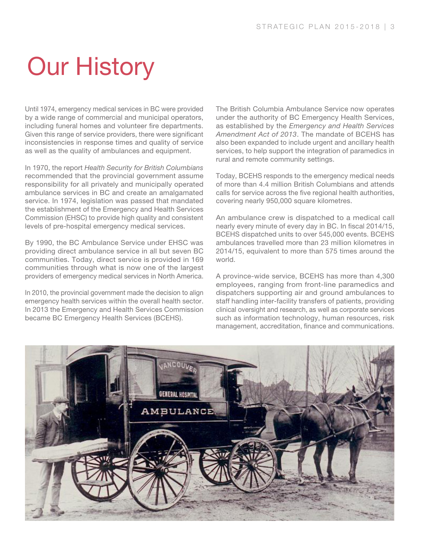# Our History

Until 1974, emergency medical services in BC were provided by a wide range of commercial and municipal operators, including funeral homes and volunteer fire departments. Given this range of service providers, there were significant inconsistencies in response times and quality of service as well as the quality of ambulances and equipment.

In 1970, the report *Health Security for British Columbians*  recommended that the provincial government assume responsibility for all privately and municipally operated ambulance services in BC and create an amalgamated service. In 1974, legislation was passed that mandated the establishment of the Emergency and Health Services Commission (EHSC) to provide high quality and consistent levels of pre-hospital emergency medical services.

By 1990, the BC Ambulance Service under EHSC was providing direct ambulance service in all but seven BC communities. Today, direct service is provided in 169 communities through what is now one of the largest providers of emergency medical services in North America.

In 2010, the provincial government made the decision to align emergency health services within the overall health sector. In 2013 the Emergency and Health Services Commission became BC Emergency Health Services (BCEHS).

The British Columbia Ambulance Service now operates under the authority of BC Emergency Health Services, as established by the *Emergency and Health Services Amendment Act of 2013*. The mandate of BCEHS has also been expanded to include urgent and ancillary health services, to help support the integration of paramedics in rural and remote community settings.

Today, BCEHS responds to the emergency medical needs of more than 4.4 million British Columbians and attends calls for service across the five regional health authorities, covering nearly 950,000 square kilometres.

An ambulance crew is dispatched to a medical call nearly every minute of every day in BC. In fiscal 2014/15, BCEHS dispatched units to over 545,000 events. BCEHS ambulances travelled more than 23 million kilometres in 2014/15, equivalent to more than 575 times around the world.

A province-wide service, BCEHS has more than 4,300 employees, ranging from front-line paramedics and dispatchers supporting air and ground ambulances to staff handling inter-facility transfers of patients, providing clinical oversight and research, as well as corporate services such as information technology, human resources, risk management, accreditation, finance and communications.

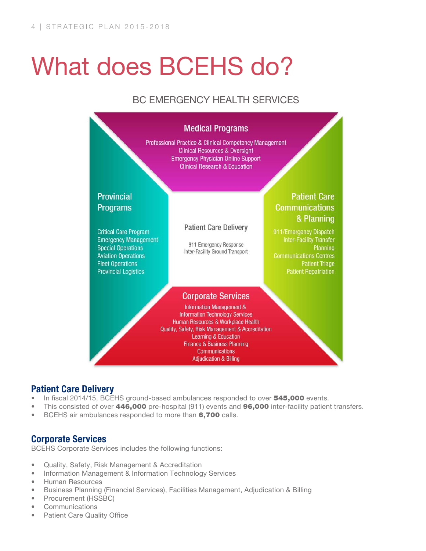# What does BCEHS do?

## BC EMERGENCY HEALTH SERVICES



### Patient Care Delivery

- In fiscal 2014/15, BCEHS ground-based ambulances responded to over  $545,000$  events.
- This consisted of over 446,000 pre-hospital (911) events and 96,000 inter-facility patient transfers.
- BCEHS air ambulances responded to more than 6.700 calls.

#### Corporate Services

BCEHS Corporate Services includes the following functions:

- • Quality, Safety, Risk Management & Accreditation
- Information Management & Information Technology Services
- • Human Resources
- • Business Planning (Financial Services), Facilities Management, Adjudication & Billing
- • Procurement (HSSBC)
- **Communications**
- Patient Care Quality Office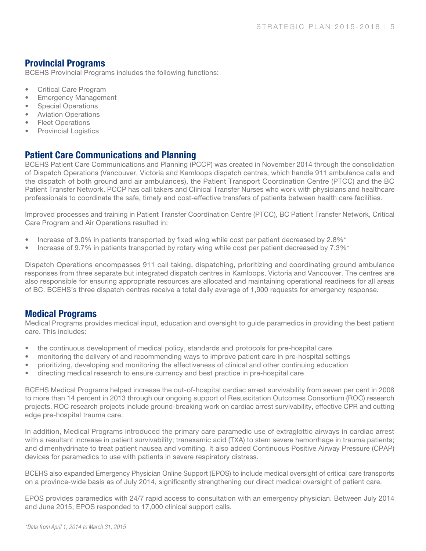#### Provincial Programs

BCEHS Provincial Programs includes the following functions:

- • Critical Care Program
- **Emergency Management**
- **Special Operations**
- **Aviation Operations**
- **Fleet Operations**
- Provincial Logistics

### Patient Care Communications and Planning

BCEHS Patient Care Communications and Planning (PCCP) was created in November 2014 through the consolidation of Dispatch Operations (Vancouver, Victoria and Kamloops dispatch centres, which handle 911 ambulance calls and the dispatch of both ground and air ambulances), the Patient Transport Coordination Centre (PTCC) and the BC Patient Transfer Network. PCCP has call takers and Clinical Transfer Nurses who work with physicians and healthcare professionals to coordinate the safe, timely and cost-effective transfers of patients between health care facilities.

Improved processes and training in Patient Transfer Coordination Centre (PTCC), BC Patient Transfer Network, Critical Care Program and Air Operations resulted in:

- Increase of 3.0% in patients transported by fixed wing while cost per patient decreased by 2.8%\*
- Increase of 9.7% in patients transported by rotary wing while cost per patient decreased by  $7.3\%$ \*

Dispatch Operations encompasses 911 call taking, dispatching, prioritizing and coordinating ground ambulance responses from three separate but integrated dispatch centres in Kamloops, Victoria and Vancouver. The centres are also responsible for ensuring appropriate resources are allocated and maintaining operational readiness for all areas of BC. BCEHS's three dispatch centres receive a total daily average of 1,900 requests for emergency response.

#### Medical Programs

Medical Programs provides medical input, education and oversight to guide paramedics in providing the best patient care. This includes:

- the continuous development of medical policy, standards and protocols for pre-hospital care
- monitoring the delivery of and recommending ways to improve patient care in pre-hospital settings
- prioritizing, developing and monitoring the effectiveness of clinical and other continuing education
- directing medical research to ensure currency and best practice in pre-hospital care

BCEHS Medical Programs helped increase the out-of-hospital cardiac arrest survivability from seven per cent in 2008 to more than 14 percent in 2013 through our ongoing support of Resuscitation Outcomes Consortium (ROC) research projects. ROC research projects include ground-breaking work on cardiac arrest survivability, effective CPR and cutting edge pre-hospital trauma care.

In addition, Medical Programs introduced the primary care paramedic use of extraglottic airways in cardiac arrest with a resultant increase in patient survivability; tranexamic acid (TXA) to stem severe hemorrhage in trauma patients; and dimenhydrinate to treat patient nausea and vomiting. It also added Continuous Positive Airway Pressure (CPAP) devices for paramedics to use with patients in severe respiratory distress.

BCEHS also expanded Emergency Physician Online Support (EPOS) to include medical oversight of critical care transports on a province-wide basis as of July 2014, significantly strengthening our direct medical oversight of patient care.

EPOS provides paramedics with 24/7 rapid access to consultation with an emergency physician. Between July 2014 and June 2015, EPOS responded to 17,000 clinical support calls.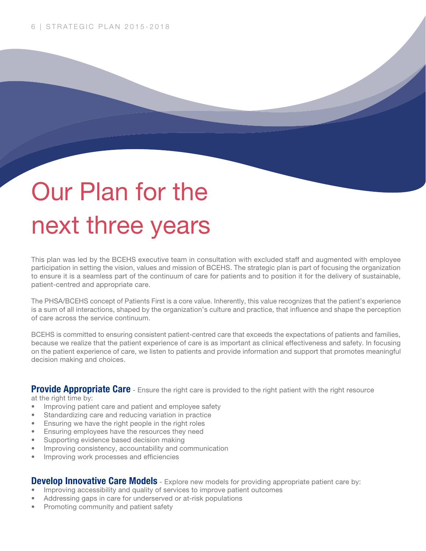# Our Plan for the next three years

This plan was led by the BCEHS executive team in consultation with excluded staff and augmented with employee participation in setting the vision, values and mission of BCEHS. The strategic plan is part of focusing the organization to ensure it is a seamless part of the continuum of care for patients and to position it for the delivery of sustainable, patient-centred and appropriate care.

The PHSA/BCEHS concept of Patients First is a core value. Inherently, this value recognizes that the patient's experience is a sum of all interactions, shaped by the organization's culture and practice, that influence and shape the perception of care across the service continuum.

BCEHS is committed to ensuring consistent patient-centred care that exceeds the expectations of patients and families, because we realize that the patient experience of care is as important as clinical effectiveness and safety. In focusing on the patient experience of care, we listen to patients and provide information and support that promotes meaningful decision making and choices.

Provide Appropriate Care - Ensure the right care is provided to the right patient with the right resource at the right time by:

- Improving patient care and patient and employee safety
- Standardizing care and reducing variation in practice
- Ensuring we have the right people in the right roles
- Ensuring employees have the resources they need
- • Supporting evidence based decision making
- Improving consistency, accountability and communication
- Improving work processes and efficiencies

#### **Develop Innovative Care Models** - Explore new models for providing appropriate patient care by:

- Improving accessibility and quality of services to improve patient outcomes
- Addressing gaps in care for underserved or at-risk populations
- **Promoting community and patient safety**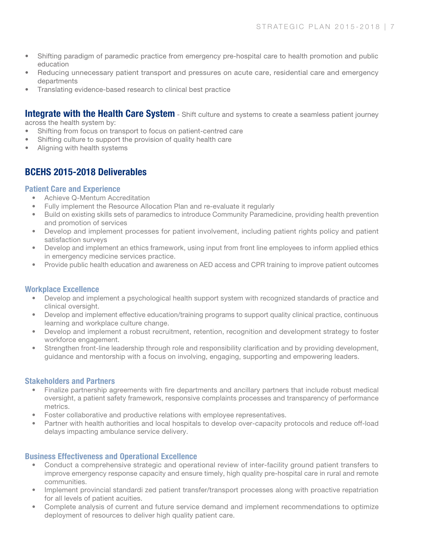- Shifting paradigm of paramedic practice from emergency pre-hospital care to health promotion and public education
- Reducing unnecessary patient transport and pressures on acute care, residential care and emergency departments
- Translating evidence-based research to clinical best practice

**Integrate with the Health Care System** - Shift culture and systems to create a seamless patient journey across the health system by:

- Shifting from focus on transport to focus on patient-centred care
- Shifting culture to support the provision of quality health care
- Aligning with health systems

### BCEHS 2015-2018 Deliverables

#### Patient Care and Experience

- Achieve Q-Mentum Accreditation
- Fully implement the Resource Allocation Plan and re-evaluate it regularly
- Build on existing skills sets of paramedics to introduce Community Paramedicine, providing health prevention and promotion of services
- Develop and implement processes for patient involvement, including patient rights policy and patient satisfaction surveys
- Develop and implement an ethics framework, using input from front line employees to inform applied ethics in emergency medicine services practice.
- Provide public health education and awareness on AED access and CPR training to improve patient outcomes

#### Workplace Excellence

- Develop and implement a psychological health support system with recognized standards of practice and clinical oversight.
- Develop and implement effective education/training programs to support quality clinical practice, continuous learning and workplace culture change.
- Develop and implement a robust recruitment, retention, recognition and development strategy to foster workforce engagement.
- Strengthen front-line leadership through role and responsibility clarification and by providing development, guidance and mentorship with a focus on involving, engaging, supporting and empowering leaders.

#### Stakeholders and Partners

- Finalize partnership agreements with fire departments and ancillary partners that include robust medical oversight, a patient safety framework, responsive complaints processes and transparency of performance metrics.
- Foster collaborative and productive relations with employee representatives.
- Partner with health authorities and local hospitals to develop over-capacity protocols and reduce off-load delays impacting ambulance service delivery.

#### Business Effectiveness and Operational Excellence

- Conduct a comprehensive strategic and operational review of inter-facility ground patient transfers to improve emergency response capacity and ensure timely, high quality pre-hospital care in rural and remote communities.
- Implement provincial standardi zed patient transfer/transport processes along with proactive repatriation for all levels of patient acuities.
- Complete analysis of current and future service demand and implement recommendations to optimize deployment of resources to deliver high quality patient care.